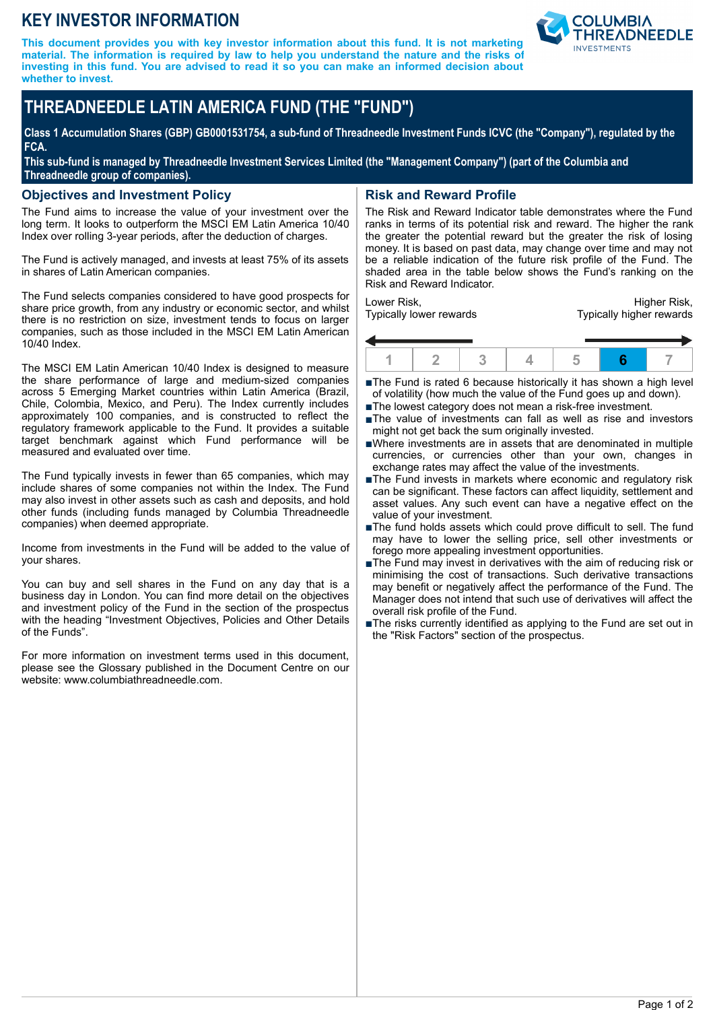## **KEY INVESTOR INFORMATION**

**This document provides you with key investor information about this fund. It is not marketing material. The information is required by law to help you understand the nature and the risks of investing in this fund. You are advised to read it so you can make an informed decision about whether to invest.**



# **THREADNEEDLE LATIN AMERICA FUND (THE "FUND")**

**Class 1 Accumulation Shares (GBP) GB0001531754, a sub-fund of Threadneedle Investment Funds ICVC (the "Company"), regulated by the FCA.**

**This sub-fund is managed by Threadneedle Investment Services Limited (the "Management Company") (part of the Columbia and Threadneedle group of companies).**

#### **Objectives and Investment Policy**

The Fund aims to increase the value of your investment over the long term. It looks to outperform the MSCI EM Latin America 10/40 Index over rolling 3-year periods, after the deduction of charges.

The Fund is actively managed, and invests at least 75% of its assets in shares of Latin American companies.

The Fund selects companies considered to have good prospects for share price growth, from any industry or economic sector, and whilst there is no restriction on size, investment tends to focus on larger companies, such as those included in the MSCI EM Latin American 10/40 Index.

The MSCI EM Latin American 10/40 Index is designed to measure the share performance of large and medium-sized companies across 5 Emerging Market countries within Latin America (Brazil, Chile, Colombia, Mexico, and Peru). The Index currently includes approximately 100 companies, and is constructed to reflect the regulatory framework applicable to the Fund. It provides a suitable target benchmark against which Fund performance will be measured and evaluated over time.

The Fund typically invests in fewer than 65 companies, which may include shares of some companies not within the Index. The Fund may also invest in other assets such as cash and deposits, and hold other funds (including funds managed by Columbia Threadneedle companies) when deemed appropriate.

Income from investments in the Fund will be added to the value of your shares.

You can buy and sell shares in the Fund on any day that is a business day in London. You can find more detail on the objectives and investment policy of the Fund in the section of the prospectus with the heading "Investment Objectives, Policies and Other Details of the Funds".

For more information on investment terms used in this document, please see the Glossary published in the Document Centre on our website: www.columbiathreadneedle.com.

### **Risk and Reward Profile**

The Risk and Reward Indicator table demonstrates where the Fund ranks in terms of its potential risk and reward. The higher the rank the greater the potential reward but the greater the risk of losing money. It is based on past data, may change over time and may not be a reliable indication of the future risk profile of the Fund. The shaded area in the table below shows the Fund's ranking on the Risk and Reward Indicator.

Lower Risk, Typically lower rewards

Higher Risk, Typically higher rewards



■The Fund is rated 6 because historically it has shown a high level of volatility (how much the value of the Fund goes up and down).

- ■The lowest category does not mean a risk-free investment.
- nThe value of investments can fall as well as rise and investors might not get back the sum originally invested.
- nWhere investments are in assets that are denominated in multiple currencies, or currencies other than your own, changes in exchange rates may affect the value of the investments.
- ■The Fund invests in markets where economic and regulatory risk can be significant. These factors can affect liquidity, settlement and asset values. Any such event can have a negative effect on the value of your investment.
- ■The fund holds assets which could prove difficult to sell. The fund may have to lower the selling price, sell other investments or forego more appealing investment opportunities.
- ■The Fund may invest in derivatives with the aim of reducing risk or minimising the cost of transactions. Such derivative transactions may benefit or negatively affect the performance of the Fund. The Manager does not intend that such use of derivatives will affect the overall risk profile of the Fund.
- The risks currently identified as applying to the Fund are set out in the "Risk Factors" section of the prospectus.